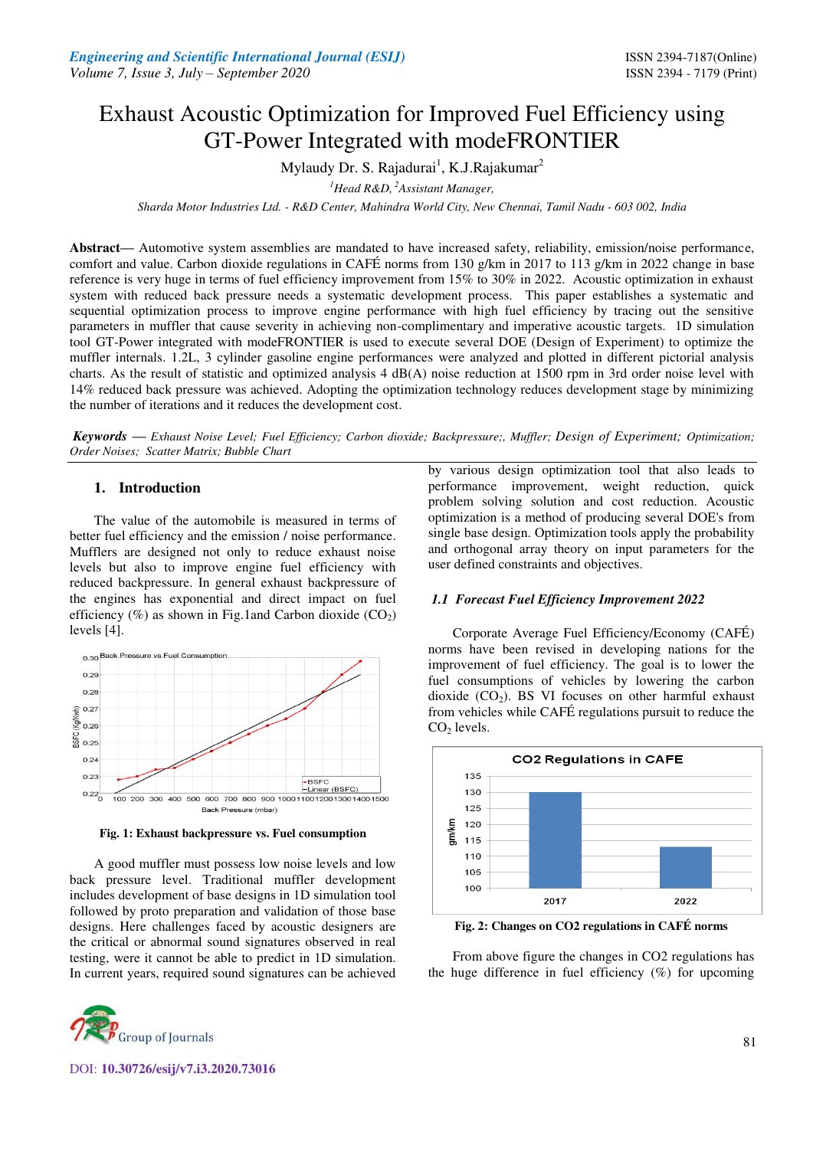# Exhaust Acoustic Optimization for Improved Fuel Efficiency using GT-Power Integrated with modeFRONTIER

Mylaudy Dr. S. Rajadurai<sup>1</sup>, K.J.Rajakumar<sup>2</sup>

*<sup>1</sup>Head R&D,<sup>2</sup>Assistant Manager,* 

*Sharda Motor Industries Ltd. - R&D Center, Mahindra World City, New Chennai, Tamil Nadu - 603 002, India* 

**Abstract—** Automotive system assemblies are mandated to have increased safety, reliability, emission/noise performance, comfort and value. Carbon dioxide regulations in CAFÉ norms from 130 g/km in 2017 to 113 g/km in 2022 change in base reference is very huge in terms of fuel efficiency improvement from 15% to 30% in 2022. Acoustic optimization in exhaust system with reduced back pressure needs a systematic development process. This paper establishes a systematic and sequential optimization process to improve engine performance with high fuel efficiency by tracing out the sensitive parameters in muffler that cause severity in achieving non-complimentary and imperative acoustic targets. 1D simulation tool GT-Power integrated with modeFRONTIER is used to execute several DOE (Design of Experiment) to optimize the muffler internals. 1.2L, 3 cylinder gasoline engine performances were analyzed and plotted in different pictorial analysis charts. As the result of statistic and optimized analysis 4 dB(A) noise reduction at 1500 rpm in 3rd order noise level with 14% reduced back pressure was achieved. Adopting the optimization technology reduces development stage by minimizing the number of iterations and it reduces the development cost.

*Keywords* **—** *Exhaust Noise Level; Fuel Efficiency; Carbon dioxide; Backpressure;, Muffler; Design of Experiment; Optimization; Order Noises; Scatter Matrix; Bubble Chart* 

## **1. Introduction**

The value of the automobile is measured in terms of better fuel efficiency and the emission / noise performance. Mufflers are designed not only to reduce exhaust noise levels but also to improve engine fuel efficiency with reduced backpressure. In general exhaust backpressure of the engines has exponential and direct impact on fuel efficiency (%) as shown in Fig.1and Carbon dioxide  $(CO_2)$ levels [4].



**Fig. 1: Exhaust backpressure vs. Fuel consumption** 

A good muffler must possess low noise levels and low back pressure level. Traditional muffler development includes development of base designs in 1D simulation tool followed by proto preparation and validation of those base designs. Here challenges faced by acoustic designers are the critical or abnormal sound signatures observed in real testing, were it cannot be able to predict in 1D simulation. In current years, required sound signatures can be achieved

DOI: **10.30726/esij/v7.i3.2020.73016**

by various design optimization tool that also leads to performance improvement, weight reduction, quick problem solving solution and cost reduction. Acoustic optimization is a method of producing several DOE's from single base design. Optimization tools apply the probability and orthogonal array theory on input parameters for the user defined constraints and objectives.

#### *1.1 Forecast Fuel Efficiency Improvement 2022*

Corporate Average Fuel Efficiency/Economy (CAFÉ) norms have been revised in developing nations for the improvement of fuel efficiency. The goal is to lower the fuel consumptions of vehicles by lowering the carbon dioxide  $(CO<sub>2</sub>)$ . BS VI focuses on other harmful exhaust from vehicles while CAFÉ regulations pursuit to reduce the  $CO<sub>2</sub>$  levels.



**Fig. 2: Changes on CO2 regulations in CAFÉ norms** 

From above figure the changes in CO2 regulations has the huge difference in fuel efficiency  $(\%)$  for upcoming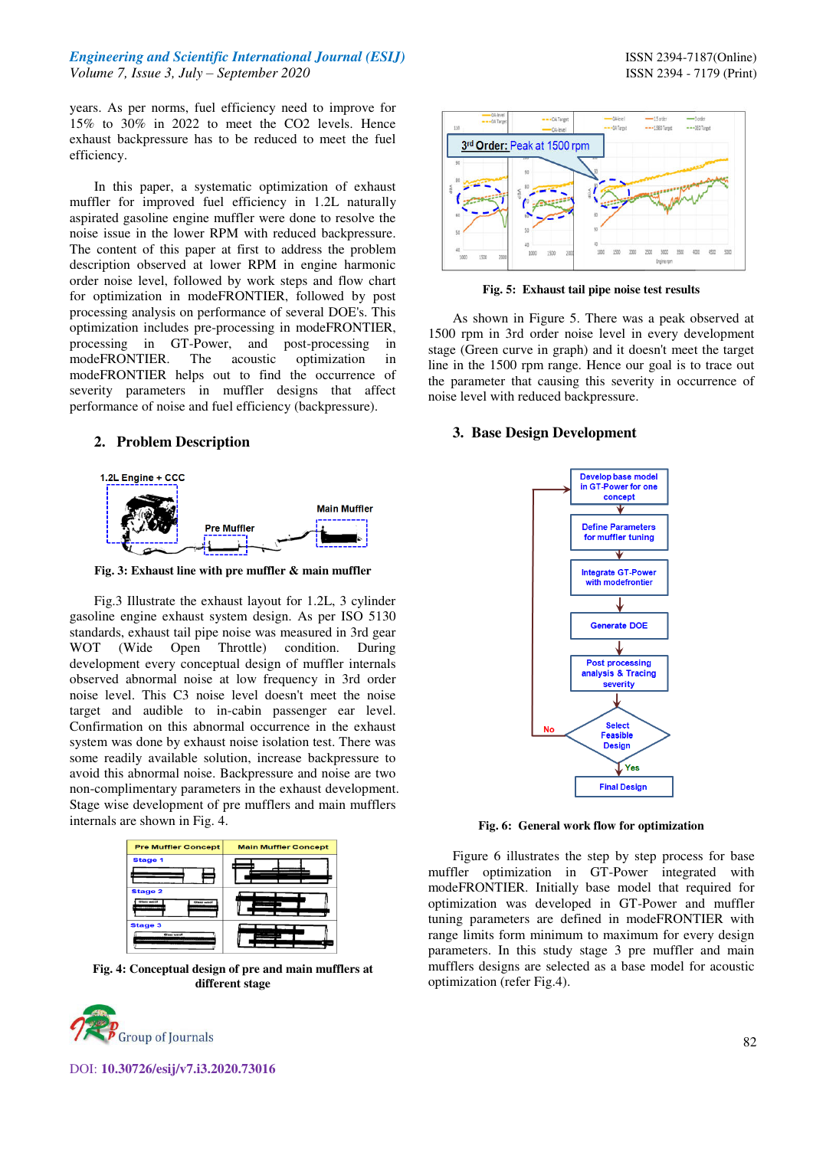## *Engineering and Scientific International Journal (ESIJ)* **ISSN 2394-7187(Online) ISSN 2394-7187(Online)** *Volume 7, Issue 3, July – September 2020* ISSN 2394 - 7179 (Print)

In this paper, a systematic optimization of exhaust muffler for improved fuel efficiency in 1.2L naturally aspirated gasoline engine muffler were done to resolve the noise issue in the lower RPM with reduced backpressure. The content of this paper at first to address the problem description observed at lower RPM in engine harmonic order noise level, followed by work steps and flow chart for optimization in modeFRONTIER, followed by post processing analysis on performance of several DOE's. This optimization includes pre-processing in modeFRONTIER, processing in GT-Power, and post-processing in modeFRONTIER. The acoustic optimization in modeFRONTIER helps out to find the occurrence of severity parameters in muffler designs that affect performance of noise and fuel efficiency (backpressure).

## **2. Problem Description**



**Fig. 3: Exhaust line with pre muffler & main muffler** 

Fig.3 Illustrate the exhaust layout for 1.2L, 3 cylinder gasoline engine exhaust system design. As per ISO 5130 standards, exhaust tail pipe noise was measured in 3rd gear WOT (Wide Open Throttle) condition. During development every conceptual design of muffler internals observed abnormal noise at low frequency in 3rd order noise level. This C3 noise level doesn't meet the noise target and audible to in-cabin passenger ear level. Confirmation on this abnormal occurrence in the exhaust system was done by exhaust noise isolation test. There was some readily available solution, increase backpressure to avoid this abnormal noise. Backpressure and noise are two non-complimentary parameters in the exhaust development. Stage wise development of pre mufflers and main mufflers internals are shown in Fig. 4.



**Fig. 4: Conceptual design of pre and main mufflers at different stage** 





**Fig. 5: Exhaust tail pipe noise test results**

As shown in Figure 5. There was a peak observed at 1500 rpm in 3rd order noise level in every development stage (Green curve in graph) and it doesn't meet the target line in the 1500 rpm range. Hence our goal is to trace out the parameter that causing this severity in occurrence of noise level with reduced backpressure.

## **3. Base Design Development**



**Fig. 6: General work flow for optimization** 

Figure 6 illustrates the step by step process for base muffler optimization in GT-Power integrated with modeFRONTIER. Initially base model that required for optimization was developed in GT-Power and muffler tuning parameters are defined in modeFRONTIER with range limits form minimum to maximum for every design parameters. In this study stage 3 pre muffler and main mufflers designs are selected as a base model for acoustic optimization (refer Fig.4).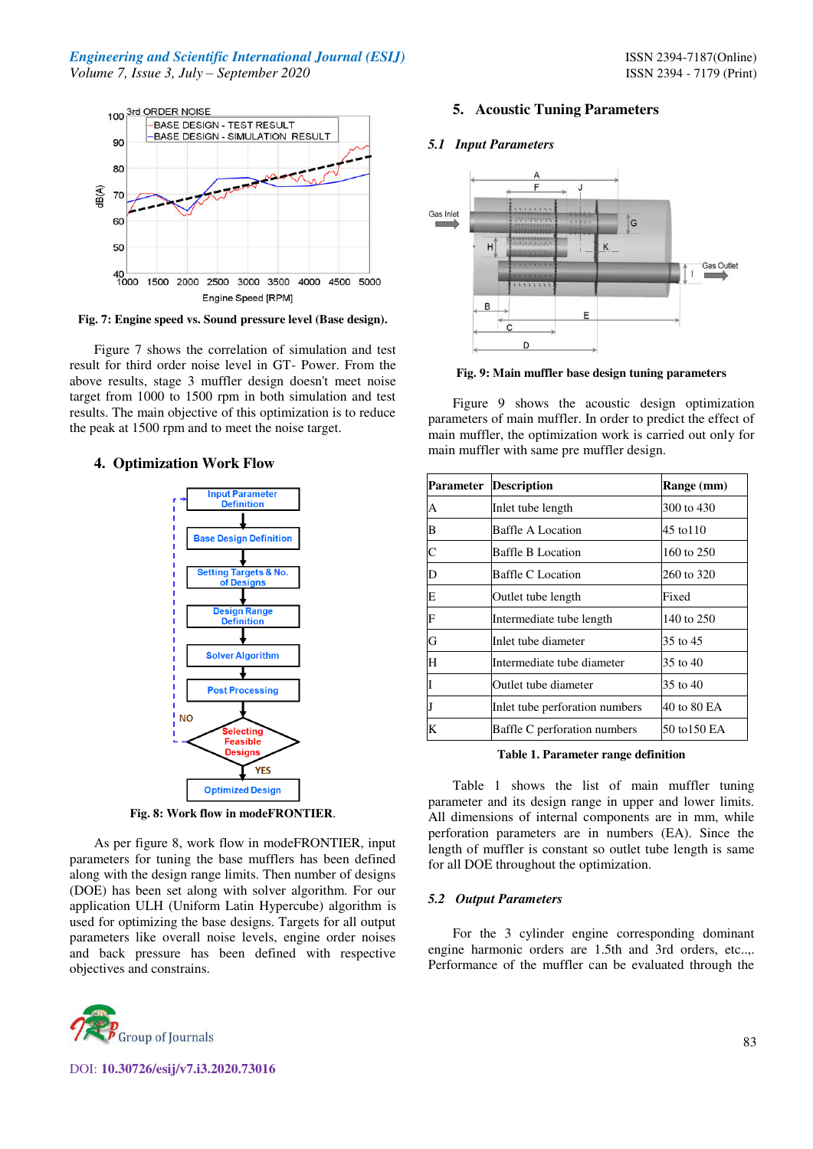## *Engineering and Scientific International Journal (ESIJ)* **ISSN 2394-7187(Online) ISSN** 2394-7187(Online) *Volume 7, Issue 3, July – September 2020* ISSN 2394 - 7179 (Print)



**Fig. 7: Engine speed vs. Sound pressure level (Base design).** 

Figure 7 shows the correlation of simulation and test result for third order noise level in GT- Power. From the above results, stage 3 muffler design doesn't meet noise target from 1000 to 1500 rpm in both simulation and test results. The main objective of this optimization is to reduce the peak at 1500 rpm and to meet the noise target.

## **4. Optimization Work Flow**



**Fig. 8: Work flow in modeFRONTIER**.

As per figure 8, work flow in modeFRONTIER, input parameters for tuning the base mufflers has been defined along with the design range limits. Then number of designs (DOE) has been set along with solver algorithm. For our application ULH (Uniform Latin Hypercube) algorithm is used for optimizing the base designs. Targets for all output parameters like overall noise levels, engine order noises and back pressure has been defined with respective objectives and constrains.



## DOI: **10.30726/esij/v7.i3.2020.73016**

## **5. Acoustic Tuning Parameters**

#### *5.1 Input Parameters*



**Fig. 9: Main muffler base design tuning parameters** 

Figure 9 shows the acoustic design optimization parameters of main muffler. In order to predict the effect of main muffler, the optimization work is carried out only for main muffler with same pre muffler design.

| Parameter | <b>Description</b>             | Range (mm)   |  |
|-----------|--------------------------------|--------------|--|
| А         | Inlet tube length              | 300 to 430   |  |
| B         | Baffle A Location              | 45 to 110    |  |
| C         | Baffle B Location              | 160 to $250$ |  |
| D         | Baffle C Location              | 260 to 320   |  |
| E         | Outlet tube length             | Fixed        |  |
| F         | Intermediate tube length       | 140 to 250   |  |
| G         | Inlet tube diameter            | 35 to 45     |  |
| H         | Intermediate tube diameter     | 35 to 40     |  |
|           | Outlet tube diameter           | 35 to 40     |  |
|           | Inlet tube perforation numbers | 40 to 80 EA  |  |
| K         | Baffle C perforation numbers   | 50 to 150 EA |  |

**Table 1. Parameter range definition** 

Table 1 shows the list of main muffler tuning parameter and its design range in upper and lower limits. All dimensions of internal components are in mm, while perforation parameters are in numbers (EA). Since the length of muffler is constant so outlet tube length is same for all DOE throughout the optimization.

#### *5.2 Output Parameters*

For the 3 cylinder engine corresponding dominant engine harmonic orders are 1.5th and 3rd orders, etc..,. Performance of the muffler can be evaluated through the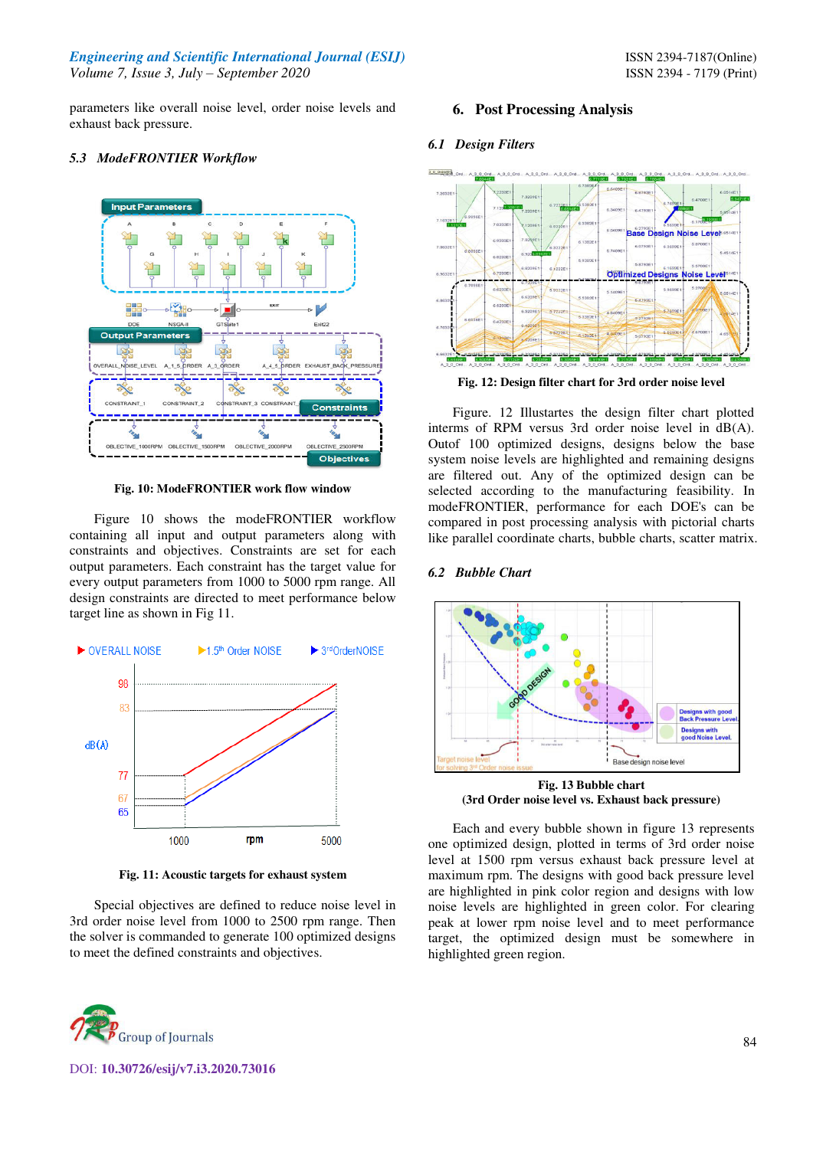*Engineering and Scientific International Journal (ESIJ)* **ISSN 2394-7187(Online) ISSN 2394-7187(Online)** *Volume 7, Issue 3, July – September 2020* ISSN 2394 - 7179 (Print)

parameters like overall noise level, order noise levels and exhaust back pressure.

## *5.3 ModeFRONTIER Workflow*



**Fig. 10: ModeFRONTIER work flow window** 

Figure 10 shows the modeFRONTIER workflow containing all input and output parameters along with constraints and objectives. Constraints are set for each output parameters. Each constraint has the target value for every output parameters from 1000 to 5000 rpm range. All design constraints are directed to meet performance below target line as shown in Fig 11.



**Fig. 11: Acoustic targets for exhaust system** 

Special objectives are defined to reduce noise level in 3rd order noise level from 1000 to 2500 rpm range. Then the solver is commanded to generate 100 optimized designs to meet the defined constraints and objectives.



## **6. Post Processing Analysis**

## *6.1 Design Filters*



**Fig. 12: Design filter chart for 3rd order noise level** 

Figure. 12 Illustartes the design filter chart plotted interms of RPM versus 3rd order noise level in dB(A). Outof 100 optimized designs, designs below the base system noise levels are highlighted and remaining designs are filtered out. Any of the optimized design can be selected according to the manufacturing feasibility. In modeFRONTIER, performance for each DOE's can be compared in post processing analysis with pictorial charts like parallel coordinate charts, bubble charts, scatter matrix.

### *6.2 Bubble Chart*



**(3rd Order noise level vs. Exhaust back pressure)**

Each and every bubble shown in figure 13 represents one optimized design, plotted in terms of 3rd order noise level at 1500 rpm versus exhaust back pressure level at maximum rpm. The designs with good back pressure level are highlighted in pink color region and designs with low noise levels are highlighted in green color. For clearing peak at lower rpm noise level and to meet performance target, the optimized design must be somewhere in highlighted green region.

DOI: **10.30726/esij/v7.i3.2020.73016**